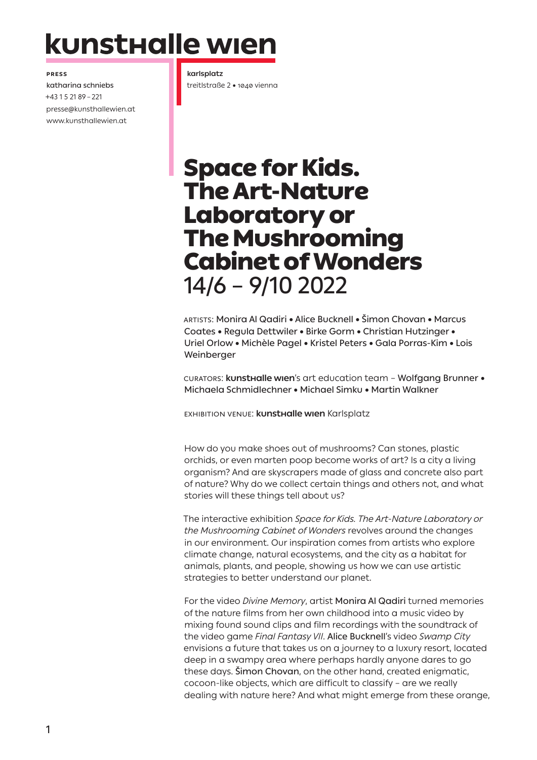# kunsthalle wien

**Press**

katharina schniebs +43 1 5 21 89 – 221 presse@kunsthallewien.at www.kunsthallewien.at

**karlsplatz** treitlstraße 2 • 1040 vienna

## Space for Kids. The Art-Nature Laboratory or The Mushrooming Cabinet of Wonders 14/6 – 9/10 2022

Artists: Monira Al Qadiri • Alice Bucknell • Šimon Chovan • Marcus Coates • Regula Dettwiler • Birke Gorm • Christian Hutzinger • Uriel Orlow • Michèle Pagel • Kristel Peters • Gala Porras-Kim • Lois Weinberger

Curators: **kunsthalle wien**'s art education team – Wolfgang Brunner • Michaela Schmidlechner • Michael Simku • Martin Walkner

Exhibition Venue: **kunsthalle wien** Karlsplatz

How do you make shoes out of mushrooms? Can stones, plastic orchids, or even marten poop become works of art? Is a city a living organism? And are skyscrapers made of glass and concrete also part of nature? Why do we collect certain things and others not, and what stories will these things tell about us?

The interactive exhibition *Space for Kids. The Art-Nature Laboratory or the Mushrooming Cabinet of Wonders* revolves around the changes in our environment. Our inspiration comes from artists who explore climate change, natural ecosystems, and the city as a habitat for animals, plants, and people, showing us how we can use artistic strategies to better understand our planet.

For the video *Divine Memory*, artist Monira Al Qadiri turned memories of the nature films from her own childhood into a music video by mixing found sound clips and film recordings with the soundtrack of the video game *Final Fantasy VII*. Alice Bucknell's video *Swamp City*  envisions a future that takes us on a journey to a luxury resort, located deep in a swampy area where perhaps hardly anyone dares to go these days. Šimon Chovan, on the other hand, created enigmatic, cocoon-like objects, which are difficult to classify – are we really dealing with nature here? And what might emerge from these orange,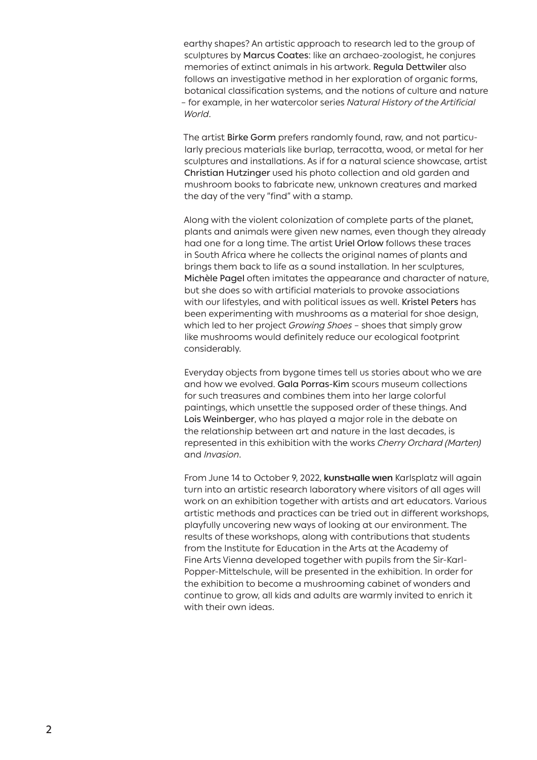earthy shapes? An artistic approach to research led to the group of sculptures by Marcus Coates: like an archaeo-zoologist, he conjures memories of extinct animals in his artwork. Regula Dettwiler also follows an investigative method in her exploration of organic forms, botanical classification systems, and the notions of culture and nature – for example, in her watercolor series *Natural History of the Artificial World*.

The artist Birke Gorm prefers randomly found, raw, and not particularly precious materials like burlap, terracotta, wood, or metal for her sculptures and installations. As if for a natural science showcase, artist Christian Hutzinger used his photo collection and old garden and mushroom books to fabricate new, unknown creatures and marked the day of the very "find" with a stamp.

Along with the violent colonization of complete parts of the planet, plants and animals were given new names, even though they already had one for a long time. The artist Uriel Orlow follows these traces in South Africa where he collects the original names of plants and brings them back to life as a sound installation. In her sculptures, Michèle Pagel often imitates the appearance and character of nature, but she does so with artificial materials to provoke associations with our lifestyles, and with political issues as well. Kristel Peters has been experimenting with mushrooms as a material for shoe design, which led to her project *Growing Shoes* – shoes that simply grow like mushrooms would definitely reduce our ecological footprint considerably.

Everyday objects from bygone times tell us stories about who we are and how we evolved. Gala Porras-Kim scours museum collections for such treasures and combines them into her large colorful paintings, which unsettle the supposed order of these things. And Lois Weinberger, who has played a major role in the debate on the relationship between art and nature in the last decades, is represented in this exhibition with the works *Cherry Orchard (Marten)*  and *Invasion*.

From June 14 to October 9, 2022, **kunsthalle wien** Karlsplatz will again turn into an artistic research laboratory where visitors of all ages will work on an exhibition together with artists and art educators. Various artistic methods and practices can be tried out in different workshops, playfully uncovering new ways of looking at our environment. The results of these workshops, along with contributions that students from the Institute for Education in the Arts at the Academy of Fine Arts Vienna developed together with pupils from the Sir-Karl-Popper-Mittelschule, will be presented in the exhibition. In order for the exhibition to become a mushrooming cabinet of wonders and continue to grow, all kids and adults are warmly invited to enrich it with their own ideas.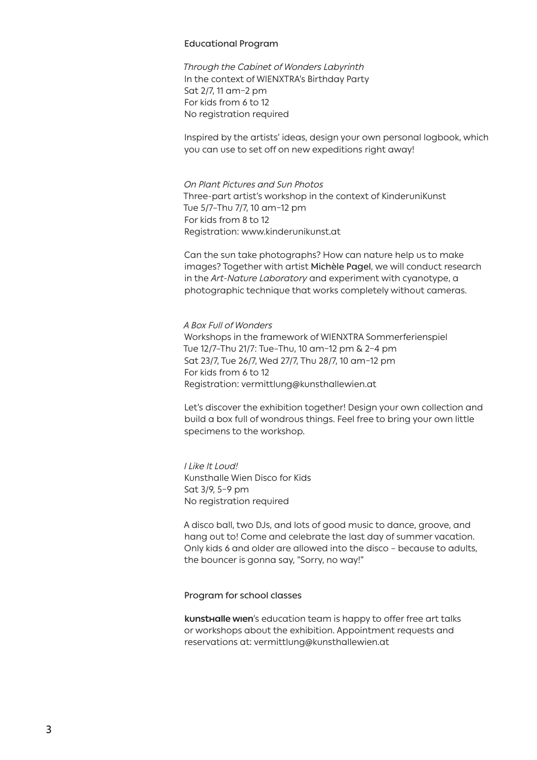#### Educational Program

*Through the Cabinet of Wonders Labyrinth* In the context of WIENXTRA's Birthday Party Sat 2/7, 11 am–2 pm For kids from 6 to 12 No registration required

Inspired by the artists' ideas, design your own personal logbook, which you can use to set off on new expeditions right away!

### *On Plant Pictures and Sun Photos*

Three-part artist's workshop in the context of KinderuniKunst Tue 5/7–Thu 7/7, 10 am–12 pm For kids from 8 to 12 Registration: www.kinderunikunst.at

Can the sun take photographs? How can nature help us to make images? Together with artist Michèle Pagel, we will conduct research in the *Art-Nature Laboratory* and experiment with cyanotype, a photographic technique that works completely without cameras.

*A Box Full of Wonders*  Workshops in the framework of WIENXTRA Sommerferienspiel Tue 12/7–Thu 21/7: Tue–Thu, 10 am–12 pm & 2–4 pm Sat 23/7, Tue 26/7, Wed 27/7, Thu 28/7, 10 am–12 pm For kids from 6 to 12 Registration: vermittlung@kunsthallewien.at

Let's discover the exhibition together! Design your own collection and build a box full of wondrous things. Feel free to bring your own little specimens to the workshop.

*I Like It Loud!* Kunsthalle Wien Disco for Kids Sat 3/9, 5–9 pm No registration required

A disco ball, two DJs, and lots of good music to dance, groove, and hang out to! Come and celebrate the last day of summer vacation. Only kids 6 and older are allowed into the disco – because to adults, the bouncer is gonna say, "Sorry, no way!"

Program for school classes

**kunsthalle wien**'s education team is happy to offer free art talks or workshops about the exhibition. Appointment requests and reservations at: vermittlung@kunsthallewien.at